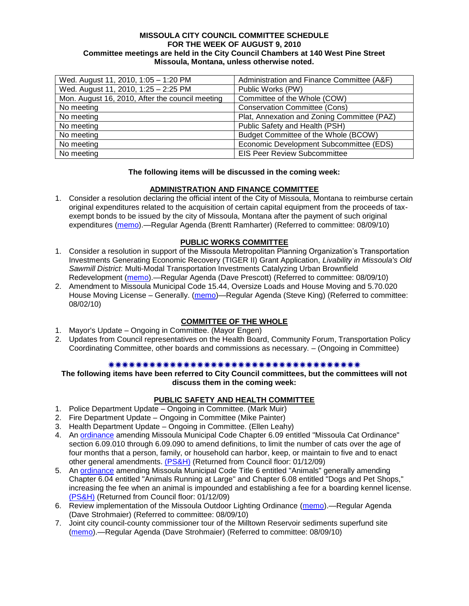#### **MISSOULA CITY COUNCIL COMMITTEE SCHEDULE FOR THE WEEK OF AUGUST 9, 2010 Committee meetings are held in the City Council Chambers at 140 West Pine Street Missoula, Montana, unless otherwise noted.**

| Wed. August 11, 2010, 1:05 - 1:20 PM            | Administration and Finance Committee (A&F)  |
|-------------------------------------------------|---------------------------------------------|
| Wed. August 11, 2010, 1:25 - 2:25 PM            | Public Works (PW)                           |
| Mon. August 16, 2010, After the council meeting | Committee of the Whole (COW)                |
| No meeting                                      | <b>Conservation Committee (Cons)</b>        |
| No meeting                                      | Plat, Annexation and Zoning Committee (PAZ) |
| No meeting                                      | Public Safety and Health (PSH)              |
| No meeting                                      | Budget Committee of the Whole (BCOW)        |
| No meeting                                      | Economic Development Subcommittee (EDS)     |
| No meeting                                      | <b>EIS Peer Review Subcommittee</b>         |

#### **The following items will be discussed in the coming week:**

### **ADMINISTRATION AND FINANCE COMMITTEE**

1. Consider a resolution declaring the official intent of the City of Missoula, Montana to reimburse certain original expenditures related to the acquisition of certain capital equipment from the proceeds of taxexempt bonds to be issued by the city of Missoula, Montana after the payment of such original expenditures [\(memo\)](http://www.ci.missoula.mt.us/DocumentView.aspx?DID=4404).—Regular Agenda (Brentt Ramharter) (Referred to committee: 08/09/10)

### **PUBLIC WORKS COMMITTEE**

- 1. Consider a resolution in support of the Missoula Metropolitan Planning Organization's Transportation Investments Generating Economic Recovery (TIGER II) Grant Application, *Livability in Missoula's Old Sawmill District*: Multi-Modal Transportation Investments Catalyzing Urban Brownfield Redevelopment [\(memo\)](http://www.ci.missoula.mt.us/DocumentView.aspx?DID=4414).—Regular Agenda (Dave Prescott) (Referred to committee: 08/09/10)
- 2. Amendment to Missoula Municipal Code 15.44, Oversize Loads and House Moving and 5.70.020 House Moving License – Generally. [\(memo\)](http://www.ci.missoula.mt.us/DocumentView.aspx?DID=4362)—Regular Agenda (Steve King) (Referred to committee: 08/02/10)

## **COMMITTEE OF THE WHOLE**

- 1. Mayor's Update Ongoing in Committee. (Mayor Engen)
- 2. Updates from Council representatives on the Health Board, Community Forum, Transportation Policy Coordinating Committee, other boards and commissions as necessary. – (Ongoing in Committee)

#### 

#### **The following items have been referred to City Council committees, but the committees will not discuss them in the coming week:**

### **PUBLIC SAFETY AND HEALTH COMMITTEE**

- 1. Police Department Update Ongoing in Committee. (Mark Muir)
- 2. Fire Department Update Ongoing in Committee (Mike Painter)
- 3. Health Department Update Ongoing in Committee. (Ellen Leahy)
- 4. An [ordinance](ftp://ftp.ci.missoula.mt.us/Packets/Council/2008/2008-12-15/2008CatOrdinanceAmendment%5B1%5D.pdf) amending Missoula Municipal Code Chapter 6.09 entitled "Missoula Cat Ordinance" section 6.09.010 through 6.09.090 to amend definitions, to limit the number of cats over the age of four months that a person, family, or household can harbor, keep, or maintain to five and to enact other general amendments. [\(PS&H\)](ftp://ftp.ci.missoula.mt.us/Packets/Council/2008/2008-12-15/081210psh.pdf) (Returned from Council floor: 01/12/09)
- 5. An [ordinance](ftp://ftp.ci.missoula.mt.us/Packets/Council/2008/2008-12-15/DogOrdinance--PSHrevisions.pdf) amending Missoula Municipal Code Title 6 entitled "Animals" generally amending Chapter 6.04 entitled "Animals Running at Large" and Chapter 6.08 entitled "Dogs and Pet Shops," increasing the fee when an animal is impounded and establishing a fee for a boarding kennel license. [\(PS&H\)](ftp://ftp.ci.missoula.mt.us/Packets/Council/2008/2008-12-15/081210psh.pdf) (Returned from Council floor: 01/12/09)
- 6. Review implementation of the Missoula Outdoor Lighting Ordinance [\(memo\)](http://www.ci.missoula.mt.us/DocumentView.aspx?DID=4420).—Regular Agenda (Dave Strohmaier) (Referred to committee: 08/09/10)
- 7. Joint city council-county commissioner tour of the Milltown Reservoir sediments superfund site [\(memo\)](http://www.ci.missoula.mt.us/DocumentView.aspx?DID=4421).—Regular Agenda (Dave Strohmaier) (Referred to committee: 08/09/10)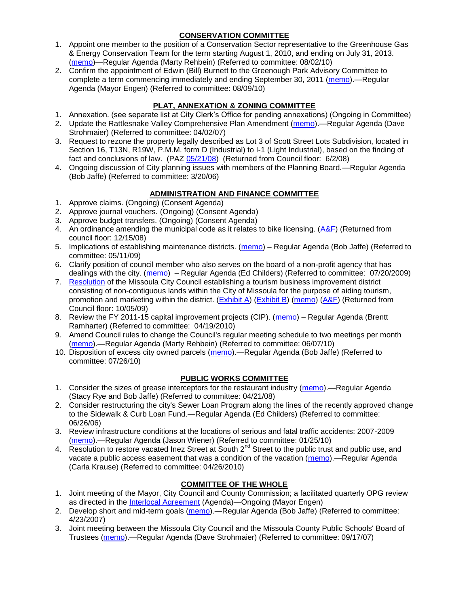## **CONSERVATION COMMITTEE**

- 1. Appoint one member to the position of a Conservation Sector representative to the Greenhouse Gas & Energy Conservation Team for the term starting August 1, 2010, and ending on July 31, 2013. [\(memo\)](http://www.ci.missoula.mt.us/DocumentView.aspx?DID=4361)—Regular Agenda (Marty Rehbein) (Referred to committee: 08/02/10)
- 2. Confirm the appointment of Edwin (Bill) Burnett to the Greenough Park Advisory Committee to complete a term commencing immediately and ending September 30, 2011 [\(memo\)](http://www.ci.missoula.mt.us/DocumentView.aspx?DID=4406).—Regular Agenda (Mayor Engen) (Referred to committee: 08/09/10)

# **PLAT, ANNEXATION & ZONING COMMITTEE**

- 1. Annexation. (see separate list at City Clerk's Office for pending annexations) (Ongoing in Committee)
- 2. Update the Rattlesnake Valley Comprehensive Plan Amendment [\(memo\)](ftp://ftp.ci.missoula.mt.us/Packets/Council/2007/2007-04-02/Referrals/Rattlesnake_Plan_Update_referral.pdf).—Regular Agenda (Dave Strohmaier) (Referred to committee: 04/02/07)
- 3. Request to rezone the property legally described as Lot 3 of Scott Street Lots Subdivision, located in Section 16, T13N, R19W, P.M.M. form D (Industrial) to I-1 (Light Industrial), based on the finding of fact and conclusions of law. (PAZ [05/21/08\)](ftp://ftp.ci.missoula.mt.us/Packets/Council/2008/2008-06-02/080521paz.pdf) (Returned from Council floor: 6/2/08)
- 4. Ongoing discussion of City planning issues with members of the Planning Board.—Regular Agenda (Bob Jaffe) (Referred to committee: 3/20/06)

# **ADMINISTRATION AND FINANCE COMMITTEE**

- 1. Approve claims. (Ongoing) (Consent Agenda)
- 2. Approve journal vouchers. (Ongoing) (Consent Agenda)
- 3. Approve budget transfers. (Ongoing) (Consent Agenda)
- 4. An ordinance amending the municipal code as it relates to bike licensing.  $(A\&F)$  (Returned from council floor: 12/15/08)
- 5. Implications of establishing maintenance districts. [\(memo\)](ftp://ftp.ci.missoula.mt.us/Packets/Council/2009/2009-05-11/Referrals/MaintenanceDistricts.pdf) Regular Agenda (Bob Jaffe) (Referred to committee: 05/11/09)
- 6. Clarify position of council member who also serves on the board of a non-profit agency that has dealings with the city. [\(memo\)](http://www.ci.missoula.mt.us/DocumentView.aspx?DID=1840) – Regular Agenda (Ed Childers) (Referred to committee: 07/20/2009)
- 7. [Resolution](http://www.ci.missoula.mt.us/DocumentView.aspx?DID=2373) of the Missoula City Council establishing a tourism business improvement district consisting of non-contiguous lands within the City of Missoula for the purpose of aiding tourism, promotion and marketing within the district. [\(Exhibit A\)](http://www.ci.missoula.mt.us/DocumentView.aspx?DID=2090) [\(Exhibit B\)](http://www.ci.missoula.mt.us/DocumentView.aspx?DID=2374) [\(memo\)](http://www.ci.missoula.mt.us/DocumentView.aspx?DID=2097) [\(A&F\)](http://www.ci.missoula.mt.us/Archive.aspx?ADID=1172) (Returned from Council floor: 10/05/09)
- 8. Review the FY 2011-15 capital improvement projects (CIP). [\(memo\)](http://www.ci.missoula.mt.us/DocumentView.aspx?DID=3522) Regular Agenda (Brentt Ramharter) (Referred to committee: 04/19/2010)
- 9. Amend Council rules to change the Council's regular meeting schedule to two meetings per month [\(memo\)](http://www.ci.missoula.mt.us/DocumentView.aspx?DID=4027).—Regular Agenda (Marty Rehbein) (Referred to committee: 06/07/10)
- 10. Disposition of excess city owned parcels [\(memo\)](http://www.ci.missoula.mt.us/DocumentView.aspx?DID=4291).—Regular Agenda (Bob Jaffe) (Referred to committee: 07/26/10)

# **PUBLIC WORKS COMMITTEE**

- 1. Consider the sizes of grease interceptors for the restaurant industry [\(memo\)](ftp://ftp.ci.missoula.mt.us/Packets/Council/2008/2008-04-21/Referrals/Industrial_waste_restaurants.pdf).—Regular Agenda (Stacy Rye and Bob Jaffe) (Referred to committee: 04/21/08)
- 2. Consider restructuring the city's Sewer Loan Program along the lines of the recently approved change to the Sidewalk & Curb Loan Fund.—Regular Agenda (Ed Childers) (Referred to committee: 06/26/06)
- 3. Review infrastructure conditions at the locations of serious and fatal traffic accidents: 2007-2009 [\(memo\)](http://www.ci.missoula.mt.us/DocumentView.aspx?DID=3031).—Regular Agenda (Jason Wiener) (Referred to committee: 01/25/10)
- 4. Resolution to restore vacated Inez Street at South 2<sup>nd</sup> Street to the public trust and public use, and vacate a public access easement that was a condition of the vacation [\(memo\)](http://www.ci.missoula.mt.us/DocumentView.aspx?DID=3573).—Regular Agenda (Carla Krause) (Referred to committee: 04/26/2010)

## **COMMITTEE OF THE WHOLE**

- 1. Joint meeting of the Mayor, City Council and County Commission; a facilitated quarterly OPG review as directed in the [Interlocal Agreement](ftp://ftp.ci.missoula.mt.us/Documents/Mayor/OPG/Adopted-ILA-2005.pdf) (Agenda)—Ongoing (Mayor Engen)
- 2. Develop short and mid-term goals [\(memo\)](ftp://ftp.ci.missoula.mt.us/Packets/Council/2007/2007-04-23/Referrals/Council_Goals.pdf).—Regular Agenda (Bob Jaffe) (Referred to committee: 4/23/2007)
- 3. Joint meeting between the Missoula City Council and the Missoula County Public Schools' Board of Trustees [\(memo\)](ftp://ftp.ci.missoula.mt.us/Packets/Council/2007/2007-09-17/Referrals/Council_School_Board_referral.pdf).—Regular Agenda (Dave Strohmaier) (Referred to committee: 09/17/07)